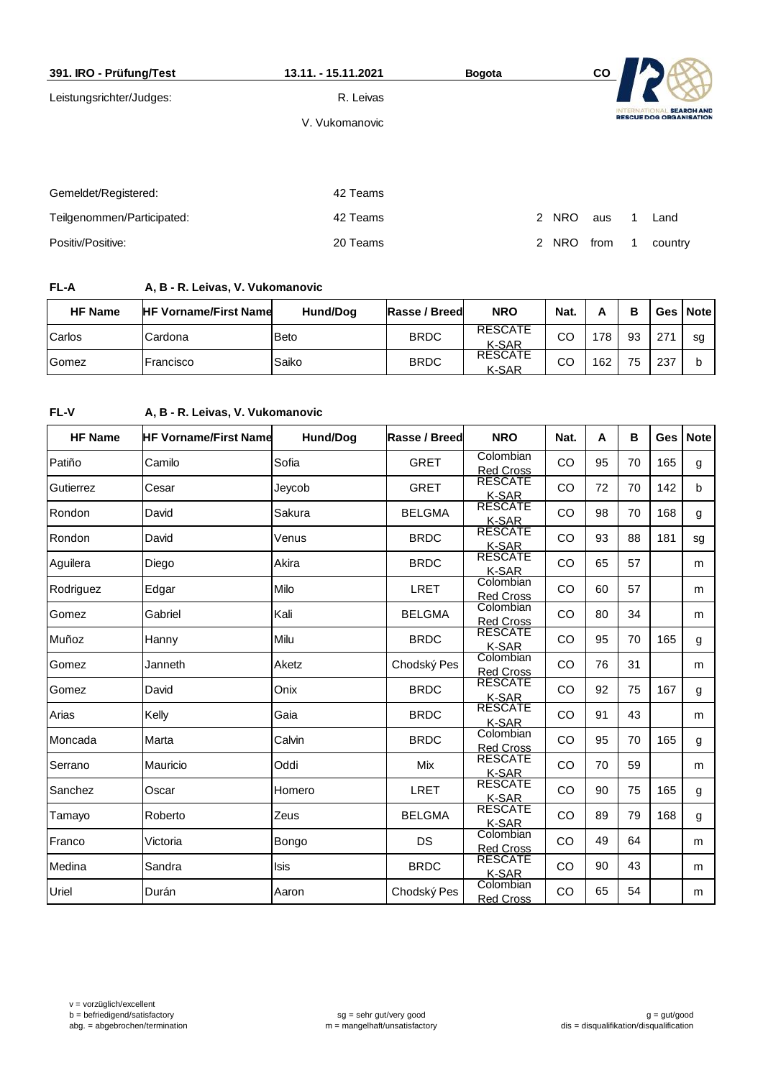| 391. IRO - Prüfung/Test    | 13.11. - 15.11.2021 | <b>Bogota</b> |                              | CO   |                   |                                                     |
|----------------------------|---------------------|---------------|------------------------------|------|-------------------|-----------------------------------------------------|
| Leistungsrichter/Judges:   | R. Leivas           |               |                              |      |                   |                                                     |
|                            | V. Vukomanovic      |               |                              |      | <b>INTERNATIC</b> | <b>SEARCH AND</b><br><b>RESCUE DOG ORGANISATION</b> |
|                            |                     |               |                              |      |                   |                                                     |
|                            |                     |               |                              |      |                   |                                                     |
| Gemeldet/Registered:       | 42 Teams            |               |                              |      |                   |                                                     |
| Teilgenommen/Participated: | 42 Teams            |               | $\mathbf{2}$<br><b>NRO</b>   | aus  |                   | Land                                                |
| Positiv/Positive:          | 20 Teams            |               | <b>NRO</b><br>$\overline{2}$ | from |                   | country                                             |

**FL-A A, B - R. Leivas, V. Vukomanovic**

| <b>HF Name</b> | <b>HF Vorname/First Name</b> | Hund/Dog    | Rasse / Breed | <b>NRO</b>                     | Nat. | n   | в  |     | Ges   Note |
|----------------|------------------------------|-------------|---------------|--------------------------------|------|-----|----|-----|------------|
| Carlos         | Cardona                      | <b>Beto</b> | <b>BRDC</b>   | <b>RESCATE</b><br>K-SAR        | CO   | 178 | 93 | 271 | sg         |
| Gomez          | Francisco                    | Saiko       | <b>BRDC</b>   | <b>RESCATE</b><br><b>K-SAR</b> | CO   | 162 | 75 | 237 | b          |

### **FL-V A, B - R. Leivas, V. Vukomanovic**

| <b>HF Name</b> | <b>HF Vorname/First Name</b> | Hund/Dog    | Rasse / Breed | <b>NRO</b>                     | Nat.      | A  | в  | Ges | <b>Note</b> |
|----------------|------------------------------|-------------|---------------|--------------------------------|-----------|----|----|-----|-------------|
| Patiño         | Camilo                       | Sofia       | <b>GRET</b>   | Colombian<br><b>Red Cross</b>  | CO        | 95 | 70 | 165 | g           |
| Gutierrez      | Cesar                        | Jeycob      | <b>GRET</b>   | <b>RESCATE</b><br>K-SAR        | CO        | 72 | 70 | 142 | b           |
| Rondon         | David                        | Sakura      | <b>BELGMA</b> | <b>RESCATE</b><br>K-SAR        | CO        | 98 | 70 | 168 | g           |
| Rondon         | David                        | Venus       | <b>BRDC</b>   | <b>RESCATE</b><br>K-SAR        | CO        | 93 | 88 | 181 | sg          |
| Aguilera       | Diego                        | Akira       | <b>BRDC</b>   | <b>RESCATE</b><br>K-SAR        | CO        | 65 | 57 |     | m           |
| Rodriguez      | Edgar                        | Milo        | <b>LRET</b>   | Colombian<br>Red Cross         | CO        | 60 | 57 |     | m           |
| Gomez          | Gabriel                      | Kali        | <b>BELGMA</b> | Colombian<br><b>Red Cross</b>  | CO        | 80 | 34 |     | m           |
| Muñoz          | Hanny                        | Milu        | <b>BRDC</b>   | <b>RESCATE</b><br>K-SAR        | <b>CO</b> | 95 | 70 | 165 | g           |
| Gomez          | Janneth                      | Aketz       | Chodský Pes   | Colombian<br><b>Red Cross</b>  | CO        | 76 | 31 |     | m           |
| Gomez          | David                        | Onix        | <b>BRDC</b>   | <b>RESCATE</b><br>K-SAR        | CO        | 92 | 75 | 167 | g           |
| Arias          | Kelly                        | Gaia        | <b>BRDC</b>   | <b>RESCATE</b><br>K-SAR        | <b>CO</b> | 91 | 43 |     | m           |
| Moncada        | Marta                        | Calvin      | <b>BRDC</b>   | Colombian<br><b>Red Cross</b>  | CO        | 95 | 70 | 165 | g           |
| Serrano        | Mauricio                     | Oddi        | Mix           | <b>RESCATE</b><br>K-SAR        | CO        | 70 | 59 |     | m           |
| Sanchez        | Oscar                        | Homero      | <b>LRET</b>   | <b>RESCATE</b><br><u>K-SAR</u> | CO        | 90 | 75 | 165 | g           |
| Tamayo         | Roberto                      | Zeus        | <b>BELGMA</b> | <b>RESCATE</b><br>K-SAR        | CO        | 89 | 79 | 168 | g           |
| Franco         | Victoria                     | Bongo       | <b>DS</b>     | Colombian<br><b>Red Cross</b>  | <b>CO</b> | 49 | 64 |     | m           |
| Medina         | Sandra                       | <b>Isis</b> | <b>BRDC</b>   | <b>RESCATE</b><br><b>K-SAR</b> | CO        | 90 | 43 |     | m           |
| Uriel          | Durán                        | Aaron       | Chodský Pes   | Colombian<br><b>Red Cross</b>  | CO        | 65 | 54 |     | m           |